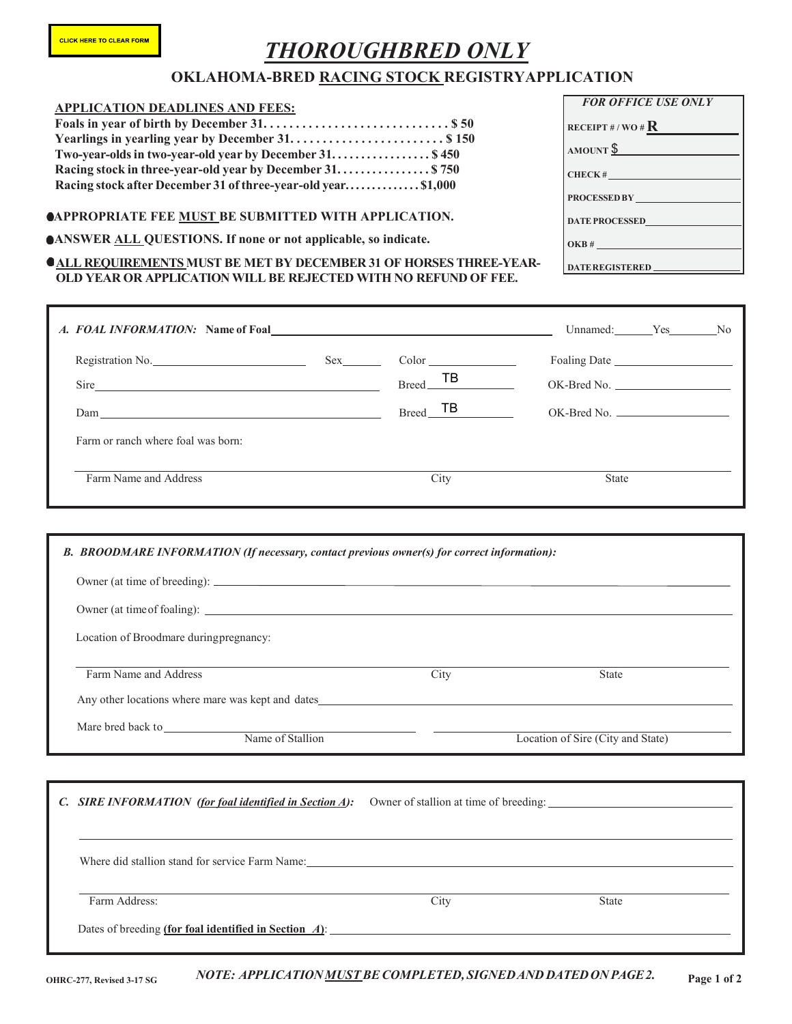# *THOROUGHBRED ONLY*

## **OKLAHOMA-BRED RACING STOCK REGISTRYAPPLICATION**

### **APPLICATION DEADLINES AND FEES:**

| Two-year-olds in two-year-old year by December 31 \$450      |  |
|--------------------------------------------------------------|--|
| Racing stock in three-year-old year by December 31 \$750     |  |
| Racing stock after December 31 of three-year-old year\$1,000 |  |

#### **APPROPRIATE FEE MUST BE SUBMITTED WITH APPLICATION.**

#### **ANSWER ALL QUESTIONS. If none or not applicable, so indicate.**

#### $\bullet$ **ALL REQUIREMENTS MUST BE MET BY DECEMBER 31 OF HORSES THREE-YEAR-OLD YEAR OR APPLICATION WILL BE REJECTED WITH NO REFUND OF FEE.**

| <b>FOR OFFICE USE ONLY</b>   |
|------------------------------|
| receipt # / wo # $\bf R$     |
| $AMOUNT \frac{\$}{}$         |
| CHECK#                       |
| PROCESSED BY                 |
| DATE PROCESSED               |
|                              |
| OKB#                         |
| DATE REGISTERED ____________ |

| A. FOAL INFORMATION: Name of Foal <b>A. A. FOAL INFORMATION:</b>                            |     |                     | Unnamed: Yes No |  |
|---------------------------------------------------------------------------------------------|-----|---------------------|-----------------|--|
| Registration No.                                                                            | Sex | Color<br>$Breed$ TB |                 |  |
| Sire                                                                                        |     |                     |                 |  |
| $\text{Dam}_{\text{max}}$                                                                   |     | $Breed$ TB          | $OK-Bred No.$   |  |
| Farm or ranch where foal was born:                                                          |     |                     |                 |  |
| Farm Name and Address                                                                       |     | City                | <b>State</b>    |  |
|                                                                                             |     |                     |                 |  |
| B. BROODMARE INFORMATION (If necessary, contact previous owner(s) for correct information): |     |                     |                 |  |
|                                                                                             |     |                     |                 |  |
|                                                                                             |     |                     |                 |  |
| Location of Broodmare during pregnancy:                                                     |     |                     |                 |  |
| Farm Name and Address                                                                       |     | City                | <b>State</b>    |  |

Mare bred back to

Any other locations where mare was kept and dates

Name of Stallion Location of Sire (City and State)

| C. SIRE INFORMATION (for foal identified in Section A):  | Owner of stallion at time of breeding: |              |  |  |
|----------------------------------------------------------|----------------------------------------|--------------|--|--|
|                                                          |                                        |              |  |  |
|                                                          |                                        |              |  |  |
| Where did stallion stand for service Farm Name:          |                                        |              |  |  |
| Farm Address:                                            | City                                   | <b>State</b> |  |  |
| Dates of breeding (for foal identified in Section $A$ ): |                                        |              |  |  |
|                                                          |                                        |              |  |  |